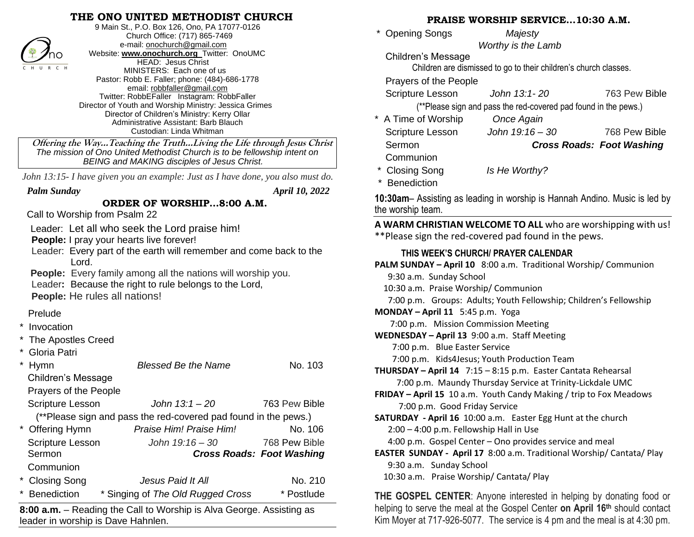## **THE ONO UNITED METHODIST CHURCH**



9 Main St., P.O. Box 126, Ono, PA 17077-0126 Church Office: (717) 865-7469 e-mail[: onochurch@gmail.com](mailto:onochurch@gmail.com) Website: **[www.onochurch.org](http://www.onochurch.org/)** Twitter: OnoUMC HEAD: Jesus Christ MINISTERS: Each one of us Pastor: Robb E. Faller; phone: (484)-686-1778 email: [robbfaller@gmail.com](mailto:robbfaller@gmail.com) Twitter: RobbEFaller Instagram: RobbFaller Director of Youth and Worship Ministry: Jessica Grimes Director of Children's Ministry: Kerry Ollar Administrative Assistant: Barb Blauch Custodian: Linda Whitman

 **Offering the Way…Teaching the Truth…Living the Life through Jesus Christ** *The mission of Ono United Methodist Church is to be fellowship intent on BEING and MAKING disciples of Jesus Christ.* 

 *John 13:15- I have given you an example: Just as I have done, you also must do.*

 *Palm Sunday April 10, 2022* 

## **ORDER OF WORSHIP…8:00 A.M.**

Call to Worship from Psalm 22

Leader: Let all who seek the Lord praise him!

**People:** I pray your hearts live forever!

- Leader: Every part of the earth will remember and come back to the Lord.
- **People:** Every family among all the nations will worship you.

Leader**:** Because the right to rule belongs to the Lord,

 **People:** He rules all nations!

## Prelude

- **Invocation**
- The Apostles Creed
- Gloria Patri

|                                                                 | Hymn                                                                       | <b>Blessed Be the Name</b>        | No. 103                          |  |  |
|-----------------------------------------------------------------|----------------------------------------------------------------------------|-----------------------------------|----------------------------------|--|--|
|                                                                 | <b>Children's Message</b>                                                  |                                   |                                  |  |  |
|                                                                 | Prayers of the People                                                      |                                   |                                  |  |  |
|                                                                 | <b>Scripture Lesson</b>                                                    | John 13:1 – 20                    | 763 Pew Bible                    |  |  |
| (**Please sign and pass the red-covered pad found in the pews.) |                                                                            |                                   |                                  |  |  |
|                                                                 | * Offering Hymn                                                            | Praise Him! Praise Him!           | No. 106                          |  |  |
|                                                                 | <b>Scripture Lesson</b>                                                    | John $19:16 - 30$                 | 768 Pew Bible                    |  |  |
|                                                                 | Sermon                                                                     |                                   | <b>Cross Roads: Foot Washing</b> |  |  |
|                                                                 | Communion                                                                  |                                   |                                  |  |  |
|                                                                 | * Closing Song                                                             | Jesus Paid It All                 | No. 210                          |  |  |
| $\star$                                                         | <b>Benediction</b>                                                         | * Singing of The Old Rugged Cross | * Postlude                       |  |  |
|                                                                 | Beading the Call to Warehin is Alve Coores Assisting as<br>$0.00 - \cdots$ |                                   |                                  |  |  |

**8:00 a.m.** – Reading the Call to Worship is Alva George. Assisting as leader in worship is Dave Hahnlen.

|                                                                     | PRAISE WORSHIP SERVICE10:30 A.M.                                           |                                  |  |  |
|---------------------------------------------------------------------|----------------------------------------------------------------------------|----------------------------------|--|--|
| <b>Opening Songs</b>                                                | Majesty                                                                    |                                  |  |  |
|                                                                     | Worthy is the Lamb                                                         |                                  |  |  |
| Children's Message                                                  |                                                                            |                                  |  |  |
| Children are dismissed to go to their children's church classes.    |                                                                            |                                  |  |  |
| Prayers of the People                                               |                                                                            |                                  |  |  |
| Scripture Lesson                                                    | John 13:1-20                                                               | 763 Pew Bible                    |  |  |
|                                                                     | (**Please sign and pass the red-covered pad found in the pews.)            |                                  |  |  |
| A Time of Worship Once Again                                        |                                                                            |                                  |  |  |
| Scripture Lesson John 19:16 - 30                                    |                                                                            | 768 Pew Bible                    |  |  |
| Sermon                                                              |                                                                            | <b>Cross Roads: Foot Washing</b> |  |  |
| Communion                                                           |                                                                            |                                  |  |  |
| * Closing Song                                                      | Is He Worthy?                                                              |                                  |  |  |
| Benediction                                                         |                                                                            |                                  |  |  |
|                                                                     | 10:30am- Assisting as leading in worship is Hannah Andino. Music is led by |                                  |  |  |
| the worship team.                                                   |                                                                            |                                  |  |  |
| A WARM CHRISTIAN WELCOME TO ALL who are worshipping with us!        |                                                                            |                                  |  |  |
| **Please sign the red-covered pad found in the pews.                |                                                                            |                                  |  |  |
| THIS WEEK'S CHURCH/ PRAYER CALENDAR                                 |                                                                            |                                  |  |  |
| PALM SUNDAY - April 10 8:00 a.m. Traditional Worship/ Communion     |                                                                            |                                  |  |  |
| 9:30 a.m. Sunday School                                             |                                                                            |                                  |  |  |
| 10:30 a.m. Praise Worship/ Communion                                |                                                                            |                                  |  |  |
| 7:00 p.m. Groups: Adults; Youth Fellowship; Children's Fellowship   |                                                                            |                                  |  |  |
| MONDAY - April 11 5:45 p.m. Yoga                                    |                                                                            |                                  |  |  |
| 7:00 p.m. Mission Commission Meeting                                |                                                                            |                                  |  |  |
| WEDNESDAY - April 13 9:00 a.m. Staff Meeting                        |                                                                            |                                  |  |  |
| 7:00 p.m. Blue Easter Service                                       |                                                                            |                                  |  |  |
| 7:00 p.m. Kids4Jesus; Youth Production Team                         |                                                                            |                                  |  |  |
| THURSDAY - April 14 7:15 - 8:15 p.m. Easter Cantata Rehearsal       |                                                                            |                                  |  |  |
|                                                                     | 7:00 p.m. Maundy Thursday Service at Trinity-Lickdale UMC                  |                                  |  |  |
|                                                                     | FRIDAY - April 15 10 a.m. Youth Candy Making / trip to Fox Meadows         |                                  |  |  |
| 7:00 p.m. Good Friday Service                                       |                                                                            |                                  |  |  |
|                                                                     | SATURDAY - April 16 10:00 a.m. Easter Egg Hunt at the church               |                                  |  |  |
| 2:00 - 4:00 p.m. Fellowship Hall in Use                             |                                                                            |                                  |  |  |
|                                                                     | 4:00 p.m. Gospel Center - Ono provides service and meal                    |                                  |  |  |
|                                                                     | EASTER SUNDAY - April 17 8:00 a.m. Traditional Worship/ Cantata/ Play      |                                  |  |  |
| 9:30 a.m. Sunday School<br>10:30 a.m. Praise Worship/ Cantata/ Play |                                                                            |                                  |  |  |
|                                                                     |                                                                            |                                  |  |  |

**THE GOSPEL CENTER**: Anyone interested in helping by donating food or helping to serve the meal at the Gospel Center **on April 16th** should contact Kim Moyer at 717-926-5077. The service is 4 pm and the meal is at 4:30 pm.